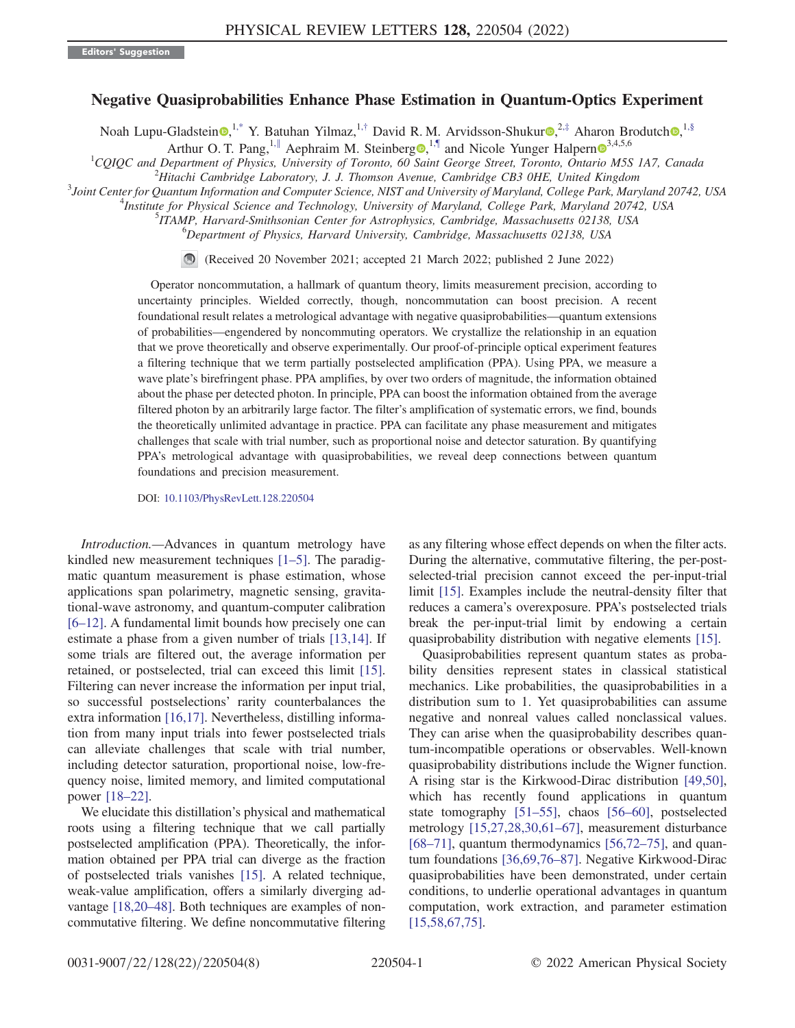## Negative Quasiprobabilities Enhance Phase Estimation in Quantum-Optics Experiment

<span id="page-0-0"></span>Noah Lupu-Gladstein [,](https://orcid.org/0000-0001-5536-1485)<sup>[1,\\*](#page-4-0)</sup> Y. Batuhan Yilmaz,<sup>1,[†](#page-4-1)</sup> David R. M. Arvidsson-Shukur ,<sup>2,[‡](#page-4-2)</sup> Aharon Brodutch ,<sup>1[,§](#page-4-3)</sup>

Arthur O. T. Pang,<sup>1,[∥](#page-4-4)</sup> Aephraim M. Steinberg<sup>®, [1,¶](#page-4-5)</sup> and Nicole Yunger Halpern<sup>®[3](https://orcid.org/0000-0001-8670-6212),4,5,6</sup>

<span id="page-0-1"></span><sup>1</sup>CQIQC and Department of Physics, University of Toronto, 60 Saint George Street, Toronto, Ontario M5S 1A7, Canada

 $H^2$ Hitachi Cambridge Laboratory, J. J. Thomson Avenue, Cambridge CB3 0HE, United Kingdom

<sup>3</sup>Joint Center for Quantum Information and Computer Science, NIST and University of Maryland, College Park, Maryland 20742, USA

<sup>4</sup>Institute for Physical Science and Technology, University of Maryland, College Park, Maryland 20742, USA

<sup>5</sup>ITAMP, Harvard-Smithsonian Center for Astrophysics, Cambridge, Massachusetts 02138, USA

<sup>6</sup>Department of Physics, Harvard University, Cambridge, Massachusetts 02138, USA

(Received 20 November 2021; accepted 21 March 2022; published 2 June 2022)

Operator noncommutation, a hallmark of quantum theory, limits measurement precision, according to uncertainty principles. Wielded correctly, though, noncommutation can boost precision. A recent foundational result relates a metrological advantage with negative quasiprobabilities—quantum extensions of probabilities—engendered by noncommuting operators. We crystallize the relationship in an equation that we prove theoretically and observe experimentally. Our proof-of-principle optical experiment features a filtering technique that we term partially postselected amplification (PPA). Using PPA, we measure a wave plate's birefringent phase. PPA amplifies, by over two orders of magnitude, the information obtained about the phase per detected photon. In principle, PPA can boost the information obtained from the average filtered photon by an arbitrarily large factor. The filter's amplification of systematic errors, we find, bounds the theoretically unlimited advantage in practice. PPA can facilitate any phase measurement and mitigates challenges that scale with trial number, such as proportional noise and detector saturation. By quantifying PPA's metrological advantage with quasiprobabilities, we reveal deep connections between quantum foundations and precision measurement.

DOI: [10.1103/PhysRevLett.128.220504](https://doi.org/10.1103/PhysRevLett.128.220504)

Introduction.—Advances in quantum metrology have kindled new measurement techniques [[1](#page-4-6)–[5](#page-4-7)]. The paradigmatic quantum measurement is phase estimation, whose applications span polarimetry, magnetic sensing, gravitational-wave astronomy, and quantum-computer calibration [\[6](#page-5-0)–[12](#page-5-1)]. A fundamental limit bounds how precisely one can estimate a phase from a given number of trials [\[13](#page-5-2)[,14\]](#page-5-3). If some trials are filtered out, the average information per retained, or postselected, trial can exceed this limit [[15](#page-5-4)]. Filtering can never increase the information per input trial, so successful postselections' rarity counterbalances the extra information [\[16](#page-5-5)[,17\]](#page-5-6). Nevertheless, distilling information from many input trials into fewer postselected trials can alleviate challenges that scale with trial number, including detector saturation, proportional noise, low-frequency noise, limited memory, and limited computational power [[18](#page-5-7)–[22](#page-5-8)].

We elucidate this distillation's physical and mathematical roots using a filtering technique that we call partially postselected amplification (PPA). Theoretically, the information obtained per PPA trial can diverge as the fraction of postselected trials vanishes [[15\]](#page-5-4). A related technique, weak-value amplification, offers a similarly diverging advantage [\[18](#page-5-7)[,20](#page-5-9)–[48](#page-6-0)]. Both techniques are examples of noncommutative filtering. We define noncommutative filtering as any filtering whose effect depends on when the filter acts. During the alternative, commutative filtering, the per-postselected-trial precision cannot exceed the per-input-trial limit [\[15\]](#page-5-4). Examples include the neutral-density filter that reduces a camera's overexposure. PPA's postselected trials break the per-input-trial limit by endowing a certain quasiprobability distribution with negative elements [\[15\]](#page-5-4).

Quasiprobabilities represent quantum states as probability densities represent states in classical statistical mechanics. Like probabilities, the quasiprobabilities in a distribution sum to 1. Yet quasiprobabilities can assume negative and nonreal values called nonclassical values. They can arise when the quasiprobability describes quantum-incompatible operations or observables. Well-known quasiprobability distributions include the Wigner function. A rising star is the Kirkwood-Dirac distribution [\[49,](#page-6-1)[50](#page-6-2)], which has recently found applications in quantum state tomography [[51](#page-6-3)–[55\]](#page-6-4), chaos [\[56](#page-6-5)–[60](#page-6-6)], postselected metrology [[15](#page-5-4),[27](#page-5-10)[,28,](#page-5-11)[30,](#page-5-12)[61](#page-6-7)–[67](#page-6-8)], measurement disturbance [\[68](#page-6-9)–[71\]](#page-6-10), quantum thermodynamics  $[56,72-75]$  $[56,72-75]$  $[56,72-75]$  $[56,72-75]$ , and quantum foundations [[36](#page-5-13)[,69](#page-6-13)[,76](#page-6-14)–[87](#page-7-0)]. Negative Kirkwood-Dirac quasiprobabilities have been demonstrated, under certain conditions, to underlie operational advantages in quantum computation, work extraction, and parameter estimation [\[15](#page-5-4)[,58,](#page-6-15)[67](#page-6-8),[75](#page-6-12)].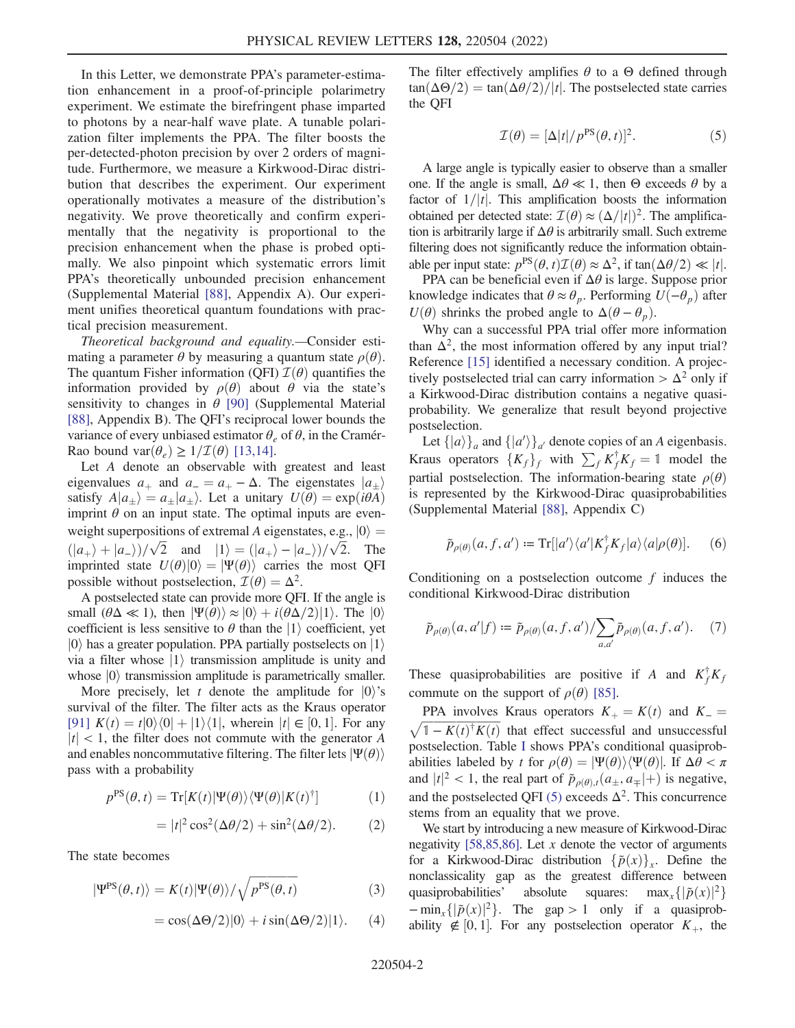In this Letter, we demonstrate PPA's parameter-estimation enhancement in a proof-of-principle polarimetry experiment. We estimate the birefringent phase imparted to photons by a near-half wave plate. A tunable polarization filter implements the PPA. The filter boosts the per-detected-photon precision by over 2 orders of magnitude. Furthermore, we measure a Kirkwood-Dirac distribution that describes the experiment. Our experiment operationally motivates a measure of the distribution's negativity. We prove theoretically and confirm experimentally that the negativity is proportional to the precision enhancement when the phase is probed optimally. We also pinpoint which systematic errors limit PPA's theoretically unbounded precision enhancement (Supplemental Material [\[88](#page-7-1)], Appendix A). Our experiment unifies theoretical quantum foundations with practical precision measurement.

Theoretical background and equality.—Consider estimating a parameter  $\theta$  by measuring a quantum state  $\rho(\theta)$ . The quantum Fisher information (QFI)  $\mathcal{I}(\theta)$  quantifies the information provided by  $\rho(\theta)$  about  $\theta$  via the state's sensitivity to changes in  $\theta$  [[90](#page-7-2)] (Supplemental Material [\[88\]](#page-7-1), Appendix B). The QFI's reciprocal lower bounds the variance of every unbiased estimator  $\theta_e$  of  $\theta$ , in the Cramér-Rao bound var $(\theta_e) \geq 1/\mathcal{I}(\theta)$  [[13](#page-5-2),[14](#page-5-3)].

Let A denote an observable with greatest and least eigenvalues  $a_+$  and  $a_-=a_+-\Delta$ . The eigenstates  $|a_{\pm}\rangle$ satisfy  $A|a_{\pm}\rangle = a_{\pm}|a_{\pm}\rangle$ . Let a unitary  $U(\theta) = \exp(i\theta A)$ <br>imprint  $\theta$  on an input state. The optimal inputs are evenimprint  $\theta$  on an input state. The optimal inputs are evenweight superpositions of extremal A eigenstates, e.g.,  $|0\rangle$  = weight superposition<br> $(|a_+\rangle + |a_-\rangle)/\sqrt{2}$ <br>imprinted state *Li* 2 sitions of extremal A eigenstates, e.g<br>  $\sqrt{2}$  and  $|1\rangle = (|a_+\rangle - |a_-\rangle)/\sqrt{2}$ <br>  $H(\theta)|0\rangle = |\Psi(\theta)\rangle$  carries the mo  $\sqrt{2}$ . The imprinted state  $U(\theta)|0\rangle = |\Psi(\theta)\rangle$  carries the most QFI possible without postselection,  $\mathcal{I}(\theta) = \Delta^2$ .

A postselected state can provide more QFI. If the angle is small  $(\theta \Delta \ll 1)$ , then  $|\Psi(\theta)\rangle \approx |0\rangle + i(\theta \Delta/2)|1\rangle$ . The  $|0\rangle$ coefficient is less sensitive to  $\theta$  than the  $|1\rangle$  coefficient, yet  $|0\rangle$  has a greater population. PPA partially postselects on  $|1\rangle$ via a filter whose  $|1\rangle$  transmission amplitude is unity and whose  $|0\rangle$  transmission amplitude is parametrically smaller.

More precisely, let t denote the amplitude for  $|0\rangle$ 's survival of the filter. The filter acts as the Kraus operator [\[91\]](#page-7-3)  $K(t) = t|0\rangle\langle0| + |1\rangle\langle1|$ , wherein  $|t| \in [0, 1]$ . For any  $|t|$  < 1, the filter does not commute with the generator A and enables noncommutative filtering. The filter lets  $|\Psi(\theta)\rangle$ pass with a probability

$$
p^{PS}(\theta, t) = \text{Tr}[K(t)|\Psi(\theta)\rangle\langle\Psi(\theta)|K(t)^{\dagger}] \tag{1}
$$

$$
= |t|^2 \cos^2(\Delta \theta/2) + \sin^2(\Delta \theta/2). \tag{2}
$$

<span id="page-1-1"></span>The state becomes

$$
|\Psi^{PS}(\theta, t)\rangle = K(t)|\Psi(\theta)\rangle / \sqrt{p^{PS}(\theta, t)}
$$
(3)

$$
= \cos(\Delta\Theta/2)|0\rangle + i\sin(\Delta\Theta/2)|1\rangle. \tag{4}
$$

<span id="page-1-0"></span>The filter effectively amplifies  $\theta$  to a  $\Theta$  defined through  $tan(\Delta\Theta/2) = tan(\Delta\theta/2)/|t|$ . The postselected state carries the QFI

$$
\mathcal{I}(\theta) = [\Delta |t| / p^{PS}(\theta, t)]^2.
$$
 (5)

A large angle is typically easier to observe than a smaller one. If the angle is small,  $\Delta\theta \ll 1$ , then Θ exceeds θ by a factor of  $1/|t|$ . This amplification boosts the information obtained per detected state:  $\mathcal{I}(\theta) \approx (\Delta/|t|)^2$ . The amplification is arbitrarily large if  $\Delta\theta$  is arbitrarily small. Such extreme filtering does not significantly reduce the information obtainable per input state:  $p^{PS}(\theta, t) \mathcal{I}(\theta) \approx \Delta^2$ , if tan $(\Delta \theta/2) \ll |t|$ .

PPA can be beneficial even if  $\Delta\theta$  is large. Suppose prior knowledge indicates that  $\theta \approx \theta_p$ . Performing  $U(-\theta_p)$  after  $U(\theta)$  shrinks the probed angle to  $\Delta(\theta - \theta_p)$ .

Why can a successful PPA trial offer more information than  $\Delta^2$ , the most information offered by any input trial? Reference [[15](#page-5-4)] identified a necessary condition. A projectively postselected trial can carry information  $> \Delta^2$  only if a Kirkwood-Dirac distribution contains a negative quasiprobability. We generalize that result beyond projective postselection.

<span id="page-1-3"></span>Let  $\{|a\rangle\}_a$  and  $\{|a'\rangle\}_a'$  denote copies of an A eigenbasis. Let  $\{|a\rangle\}_a$  and  $\{|a\rangle\}_a'$  denote copies of an A eigenbasis.<br>
Kraus operators  $\{K_f\}_f$  with  $\sum_f K_f^{\dagger} K_f = 1$  model the partial postselection. The information-bearing state  $\rho(\theta)$ is represented by the Kirkwood-Dirac quasiprobabilities (Supplemental Material [\[88\]](#page-7-1), Appendix C)

$$
\tilde{p}_{\rho(\theta)}(a,f,a') \coloneqq \operatorname{Tr}[[a']\langle a'|K_f^\dagger K_f|a\rangle\langle a|\rho(\theta)]. \tag{6}
$$

<span id="page-1-2"></span>Conditioning on a postselection outcome  $f$  induces the conditional Kirkwood-Dirac distribution

$$
\tilde{p}_{\rho(\theta)}(a, a'|f) \coloneqq \tilde{p}_{\rho(\theta)}(a, f, a') / \sum_{a, a'} \tilde{p}_{\rho(\theta)}(a, f, a'). \tag{7}
$$

These quasiprobabilities are positive if A and  $K_f^{\dagger} K_f$ commute on the support of  $\rho(\theta)$  [[85](#page-7-4)].

PPA involves Kraus operators  $K_{+} = K(t)$  and  $K_{-} =$  $\sqrt{1 - K(t)^{\dagger} K(t)}$  that effect successful and unsuccessful postselection. Table [I](#page-2-0) shows PPA's conditional quasiprobabilities labeled by t for  $\rho(\theta) = |\Psi(\theta)\rangle \langle \Psi(\theta)|$ . If  $\Delta \theta < \pi$ and  $|t|^2 < 1$ , the real part of  $\tilde{p}_{\rho(\theta),t}(a_{\pm}, a_{\mp}|+)$  is negative, and the postselected QFI [\(5\)](#page-1-0) exceeds  $\Delta^2$ . This concurrence stems from an equality that we prove.

We start by introducing a new measure of Kirkwood-Dirac negativity [\[58,](#page-6-15)[85](#page-7-4),[86\]](#page-7-5). Let  $x$  denote the vector of arguments for a Kirkwood-Dirac distribution  $\{\tilde{p}(x)\}_x$ . Define the nonclassicality gap as the greatest difference between quasiprobabilities' absolute squares:  $\max_x \{|\tilde{p}(x)|^2\}$  $-\min_x\{|\tilde{p}(x)|^2\}$ . The gap > 1 only if a quasiprobability  $\notin [0, 1]$ . For any postselection operator  $K_{+}$ , the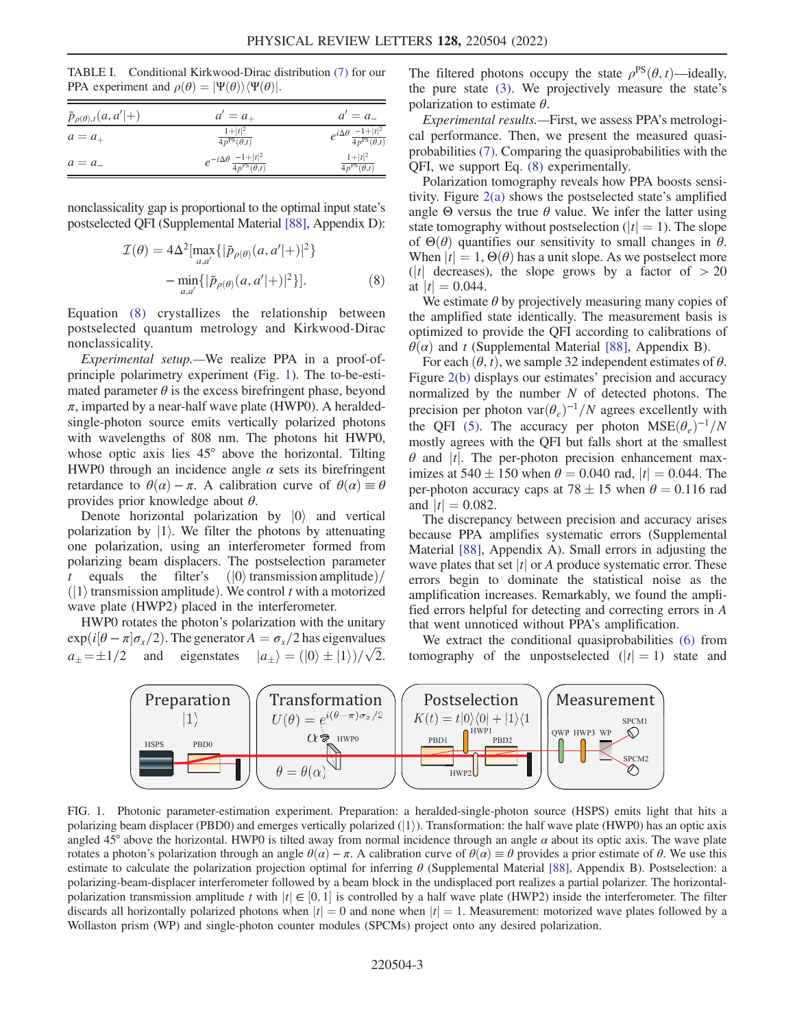<span id="page-2-0"></span>TABLE I. Conditional Kirkwood-Dirac distribution [\(7\)](#page-1-2) for our PPA experiment and  $\rho(\theta) = |\Psi(\theta)\rangle \langle \Psi(\theta)|$ .

| $\tilde{p}_{\rho(\theta),t}(a,a' +)$ | $a' = a_{+}$                                                   | $a'=a_{-}$                                                    |
|--------------------------------------|----------------------------------------------------------------|---------------------------------------------------------------|
| $a=a_{+}$                            | $1+ t ^2$<br>$4p^{PS}(\theta,t)$                               | $e^{i\Delta\theta} \frac{-1+ t ^2}{4p^{\text{PS}}(\theta,t)}$ |
| $a = a$                              | $e^{-i\Delta\theta} \frac{-1+ t ^2}{4p^{\text{PS}}(\theta,t)}$ | $1+ t ^2$<br>$4p^{PS}(\theta,t)$                              |

<span id="page-2-1"></span>nonclassicality gap is proportional to the optimal input state's postselected QFI (Supplemental Material [[88\]](#page-7-1), Appendix D):

$$
\mathcal{I}(\theta) = 4\Delta^2 \left[ \max_{a,a'} \{ |\tilde{p}_{\rho(\theta)}(a, a'|+)|^2 \} - \min_{a,a'} \{ |\tilde{p}_{\rho(\theta)}(a, a'|+)|^2 \} \right].
$$
\n(8)

Equation [\(8\)](#page-2-1) crystallizes the relationship between postselected quantum metrology and Kirkwood-Dirac nonclassicality.

Experimental setup.—We realize PPA in a proof-ofprinciple polarimetry experiment (Fig. [1\)](#page-2-2). The to-be-estimated parameter  $\theta$  is the excess birefringent phase, beyond  $\pi$ , imparted by a near-half wave plate (HWP0). A heraldedsingle-photon source emits vertically polarized photons with wavelengths of 808 nm. The photons hit HWP0, whose optic axis lies 45° above the horizontal. Tilting HWP0 through an incidence angle  $\alpha$  sets its birefringent retardance to  $\theta(\alpha) - \pi$ . A calibration curve of  $\theta(\alpha) \equiv \theta$ provides prior knowledge about  $\theta$ .

Denote horizontal polarization by  $|0\rangle$  and vertical polarization by  $|1\rangle$ . We filter the photons by attenuating one polarization, using an interferometer formed from polarizing beam displacers. The postselection parameter t equals the filter's  $\vert \vert 0 \rangle$  transmission amplitude)  $\vert \vert 1 \rangle$  transmission amplitude) We control t with a motorized  $(|1\rangle$  transmission amplitude). We control t with a motorized<br>wave plate (HWP2) placed in the interferometer wave plate (HWP2) placed in the interferometer.

HWP0 rotates the photon's polarization with the unitary  $\exp(i[\theta - \pi]\sigma_x/2)$ . The generator  $A = \sigma_x/2$  has eigenvalues a $\exp(i[\theta - \pi]\sigma_x/2)$ . The generator  $A = \sigma_x/2$  has eigenvalues<br> $\pm i/2$  and eigenstates  $|a_{\pm}\rangle = (|0\rangle \pm |1\rangle)/\sqrt{2}$  $\sqrt{2}$ . The filtered photons occupy the state  $\rho^{PS}(\theta, t)$ —ideally, the pure state [\(3\).](#page-1-1) We projectively measure the state's polarization to estimate  $\theta$ .

Experimental results.—First, we assess PPA's metrological performance. Then, we present the measured quasiprobabilities [\(7\)](#page-1-2). Comparing the quasiprobabilities with the QFI, we support Eq. [\(8\)](#page-2-1) experimentally.

Polarization tomography reveals how PPA boosts sensitivity. Figure [2\(a\)](#page-3-0) shows the postselected state's amplified angle  $\Theta$  versus the true  $\theta$  value. We infer the latter using state tomography without postselection ( $|t| = 1$ ). The slope of  $\Theta(\theta)$  quantifies our sensitivity to small changes in  $\theta$ . When  $|t| = 1$ ,  $\Theta(\theta)$  has a unit slope. As we postselect more  $(|t|)$  decreases), the slope grows by a factor of  $> 20$ at  $|t| = 0.044$ .

We estimate  $\theta$  by projectively measuring many copies of the amplified state identically. The measurement basis is optimized to provide the QFI according to calibrations of  $\theta(\alpha)$  and t (Supplemental Material [[88](#page-7-1)], Appendix B).

For each  $(\theta, t)$ , we sample 32 independent estimates of  $\theta$ . Figure [2\(b\)](#page-3-0) displays our estimates' precision and accuracy normalized by the number  $N$  of detected photons. The precision per photon var $(\theta_e)^{-1}/N$  agrees excellently with the QFI [\(5\)](#page-1-0). The accuracy per photon  $MSE(\theta_e)^{-1}/N$ mostly agrees with the QFI but falls short at the smallest  $\theta$  and |t|. The per-photon precision enhancement maximizes at  $540 \pm 150$  when  $\theta = 0.040$  rad,  $|t| = 0.044$ . The per-photon accuracy caps at  $78 + 15$  when  $\theta = 0.116$  rad per-photon accuracy caps at  $78 \pm 15$  when  $\theta = 0.116$  rad and  $|t| = 0.082$ and  $|t| = 0.082$ .

The discrepancy between precision and accuracy arises because PPA amplifies systematic errors (Supplemental Material [[88](#page-7-1)], Appendix A). Small errors in adjusting the wave plates that set  $|t|$  or A produce systematic error. These errors begin to dominate the statistical noise as the amplification increases. Remarkably, we found the amplified errors helpful for detecting and correcting errors in A that went unnoticed without PPA's amplification.

We extract the conditional quasiprobabilities [\(6\)](#page-1-3) from tomography of the unpostselected  $(|t| = 1)$  state and

<span id="page-2-2"></span>

FIG. 1. Photonic parameter-estimation experiment. Preparation: a heralded-single-photon source (HSPS) emits light that hits a polarizing beam displacer (PBD0) and emerges vertically polarized  $(|1\rangle)$ . Transformation: the half wave plate (HWP0) has an optic axis angled 45° above the horizontal. HWP0 is tilted away from normal incidence through an angle  $\alpha$  about its optic axis. The wave plate rotates a photon's polarization through an angle  $\theta(\alpha) - \pi$ . A calibration curve of  $\theta(\alpha) \equiv \theta$  provides a prior estimate of  $\theta$ . We use this estimate to calculate the polarization projection optimal for inferring  $\theta$  (Supplemental Material [[88](#page-7-1)], Appendix B). Postselection: a polarizing-beam-displacer interferometer followed by a beam block in the undisplaced port realizes a partial polarizer. The horizontalpolarization transmission amplitude t with  $|t| \in [0, 1]$  is controlled by a half wave plate (HWP2) inside the interferometer. The filter discards all horizontally polarized photons when  $|t| = 0$  and none when  $|t| = 1$ . Measurement: motorized wave plates followed by a Wollaston prism (WP) and single-photon counter modules (SPCMs) project onto any desired polarization.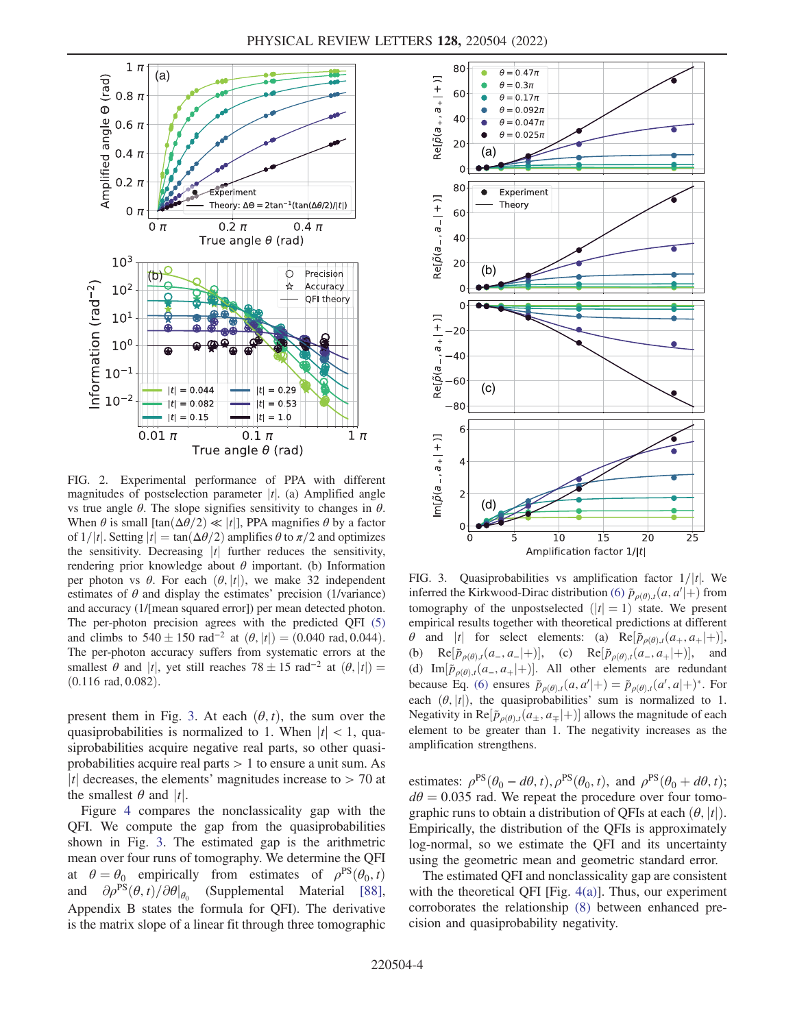<span id="page-3-0"></span>

FIG. 2. Experimental performance of PPA with different magnitudes of postselection parameter  $|t|$ . (a) Amplified angle vs true angle  $\theta$ . The slope signifies sensitivity to changes in  $\theta$ . When  $\theta$  is small  $\left[\tan(\Delta\theta/2) \ll |t|\right]$ , PPA magnifies  $\theta$  by a factor of  $1/|t|$ . Setting  $|t| = \tan(\Delta\theta/2)$  amplifies  $\theta$  to  $\pi/2$  and optimizes the sensitivity. Decreasing  $|t|$  further reduces the sensitivity, rendering prior knowledge about  $\theta$  important. (b) Information per photon vs  $\theta$ . For each  $(\theta, |t|)$ , we make 32 independent estimates of  $\theta$  and display the estimates' precision (1/variance) and accuracy (1/[mean squared error]) per mean detected photon. The per-photon precision agrees with the predicted QFI [\(5\)](#page-1-0) and climbs to  $540 \pm 150$  rad<sup>-2</sup> at  $(\theta, |t|) = (0.040 \text{ rad}, 0.044)$ .<br>The per-photon accuracy suffers from systematic errors at the The per-photon accuracy suffers from systematic errors at the smallest  $\theta$  and |t|, yet still reaches 78  $\pm$  15 rad<sup>-2</sup> at  $(\theta, |t|) =$  (0.116 rad 0.082)  $(0.116 \text{ rad}, 0.082)$ .

present them in Fig. [3.](#page-3-1) At each  $(\theta, t)$ , the sum over the quasiprobabilities is normalized to 1. When  $|t|$  < 1, quasiprobabilities acquire negative real parts, so other quasiprobabilities acquire real parts  $> 1$  to ensure a unit sum. As |t| decreases, the elements' magnitudes increase to  $>$  70 at the smallest  $\theta$  and  $|t|$ .

Figure [4](#page-4-8) compares the nonclassicality gap with the QFI. We compute the gap from the quasiprobabilities shown in Fig. [3.](#page-3-1) The estimated gap is the arithmetric mean over four runs of tomography. We determine the QFI at  $\theta = \theta_0$  empirically from estimates of  $\rho^{PS}(\theta_0, t)$ and  $\partial \rho^{PS}(\theta, t)/\partial \theta|_{\theta_0}$  (Supplemental Material [[88](#page-7-1)], Appendix B states the formula for QFI). The derivative is the matrix slope of a linear fit through three tomographic

<span id="page-3-1"></span>

FIG. 3. Quasiprobabilities vs amplification factor  $1/|t|$ . We inferred the Kirkwood-Dirac distribution [\(6\)](#page-1-3)  $\tilde{p}_{\rho(\theta),t}(a, a'|+)$  from<br>tomography, of the unpostellected  $(1,-1)$  state. We present tomography of the unpostselected  $(|t| = 1)$  state. We present empirical results together with theoretical predictions at different  $\theta$  and |t| for select elements: (a) Re $[\tilde{p}_{\rho(\theta),t}(a_+, a_+|+)],$ <br>
(b) Re $[\tilde{p}_{\rho(\theta),t}(a_-, a_-|+)],$  (c) Re $[\tilde{p}_{\rho(\theta),t}(a_-, a_+|+)],$  and  $\text{Re}[\tilde{p}_{\rho(\theta),t}(a_-, a_-|+)],$  (c)  $\text{Re}[\tilde{p}_{\rho(\theta),t}(a_-, a_+|+)],$  and (d) Im $[\tilde{p}_{\rho(\theta),t}(a_-, a_+|+)]$ . All other elements are redundant because Eq. [\(6\)](#page-1-3) ensures  $\tilde{p}_{\rho(\theta),t}(a, a'|+) = \tilde{p}_{\rho(\theta),t}(a', a|+)$ \*. For each  $(\theta, |t|)$ , the quasiprobabilities' sum is normalized to 1. Negativity in  $\text{Re}[\tilde{p}_{\rho(\theta),t}(\tilde{a}_\pm, a_\mp|+)]$  allows the magnitude of each power to be greater than 1. The positivity increases as the element to be greater than 1. The negativity increases as the amplification strengthens.

estimates:  $\rho^{PS}(\theta_0 - d\theta, t), \rho^{PS}(\theta_0, t)$ , and  $\rho^{PS}(\theta_0 + d\theta, t)$ ;  $d\theta = 0.035$  rad. We repeat the procedure over four tomographic runs to obtain a distribution of QFIs at each  $(\theta, |t|)$ . Empirically, the distribution of the QFIs is approximately log-normal, so we estimate the QFI and its uncertainty using the geometric mean and geometric standard error.

The estimated QFI and nonclassicality gap are consistent with the theoretical QFI [Fig. [4\(a\)\]](#page-4-8). Thus, our experiment corroborates the relationship [\(8\)](#page-2-1) between enhanced precision and quasiprobability negativity.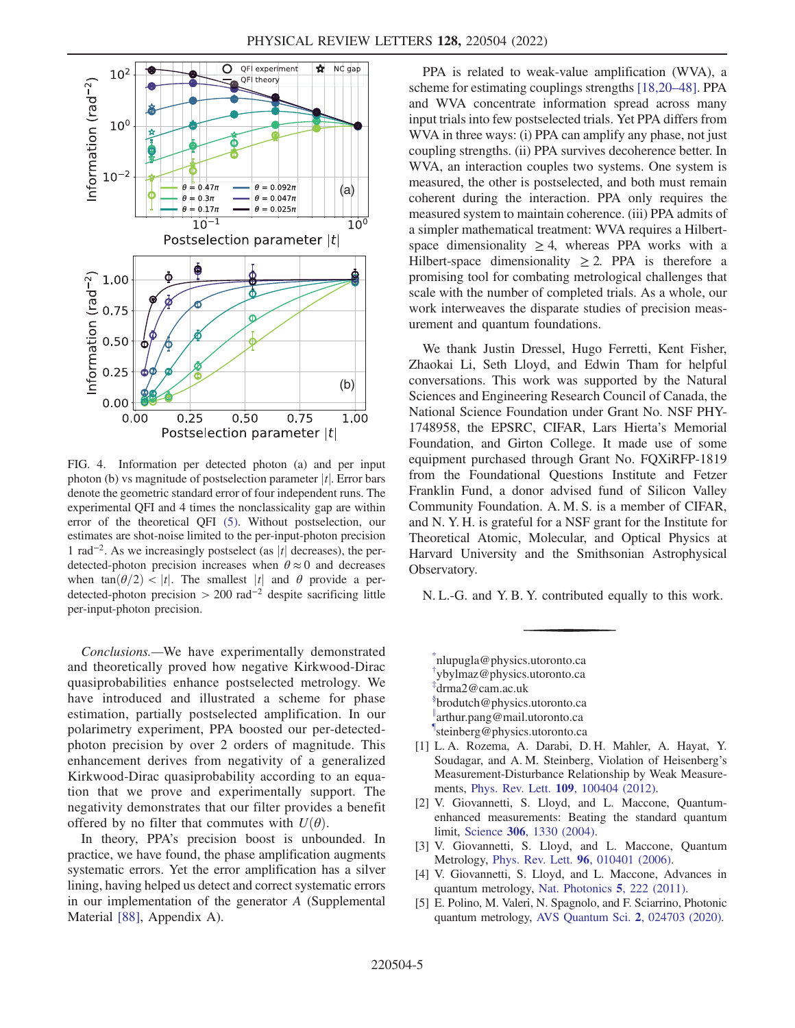<span id="page-4-8"></span>

FIG. 4. Information per detected photon (a) and per input photon (b) vs magnitude of postselection parameter  $|t|$ . Error bars denote the geometric standard error of four independent runs. The experimental QFI and 4 times the nonclassicality gap are within error of the theoretical QFI [\(5\)](#page-1-0). Without postselection, our estimates are shot-noise limited to the per-input-photon precision 1 rad<sup>-2</sup>. As we increasingly postselect (as  $|t|$  decreases), the perdetected-photon precision increases when  $\theta \approx 0$  and decreases when tan $(\theta/2)$  < |t|. The smallest |t| and  $\theta$  provide a perdetected-photon precision > 200 rad<sup>-2</sup> despite sacrificing little per-input-photon precision.

Conclusions.—We have experimentally demonstrated and theoretically proved how negative Kirkwood-Dirac quasiprobabilities enhance postselected metrology. We have introduced and illustrated a scheme for phase estimation, partially postselected amplification. In our polarimetry experiment, PPA boosted our per-detectedphoton precision by over 2 orders of magnitude. This enhancement derives from negativity of a generalized Kirkwood-Dirac quasiprobability according to an equation that we prove and experimentally support. The negativity demonstrates that our filter provides a benefit offered by no filter that commutes with  $U(\theta)$ .

In theory, PPA's precision boost is unbounded. In practice, we have found, the phase amplification augments systematic errors. Yet the error amplification has a silver lining, having helped us detect and correct systematic errors in our implementation of the generator A (Supplemental Material [\[88](#page-7-1)], Appendix A).

PPA is related to weak-value amplification (WVA), a scheme for estimating couplings strengths [\[18,](#page-5-7)[20](#page-5-9)–[48](#page-6-0)]. PPA and WVA concentrate information spread across many input trials into few postselected trials. Yet PPA differs from WVA in three ways: (i) PPA can amplify any phase, not just coupling strengths. (ii) PPA survives decoherence better. In WVA, an interaction couples two systems. One system is measured, the other is postselected, and both must remain coherent during the interaction. PPA only requires the measured system to maintain coherence. (iii) PPA admits of a simpler mathematical treatment: WVA requires a Hilbertspace dimensionality  $\geq 4$ , whereas PPA works with a Hilbert-space dimensionality  $\geq$  2. PPA is therefore a promising tool for combating metrological challenges that scale with the number of completed trials. As a whole, our work interweaves the disparate studies of precision measurement and quantum foundations.

We thank Justin Dressel, Hugo Ferretti, Kent Fisher, Zhaokai Li, Seth Lloyd, and Edwin Tham for helpful conversations. This work was supported by the Natural Sciences and Engineering Research Council of Canada, the National Science Foundation under Grant No. NSF PHY-1748958, the EPSRC, CIFAR, Lars Hierta's Memorial Foundation, and Girton College. It made use of some equipment purchased through Grant No. FQXiRFP-1819 from the Foundational Questions Institute and Fetzer Franklin Fund, a donor advised fund of Silicon Valley Community Foundation. A. M. S. is a member of CIFAR, and N. Y. H. is grateful for a NSF grant for the Institute for Theoretical Atomic, Molecular, and Optical Physics at Harvard University and the Smithsonian Astrophysical Observatory.

N. L.-G. and Y. B. Y. contributed equally to this work.

<span id="page-4-4"></span><span id="page-4-3"></span><span id="page-4-2"></span><span id="page-4-1"></span><span id="page-4-0"></span>[\\*](#page-0-0) nlupugla@physics.utoronto.ca [†](#page-0-0) ybylmaz@physics.utoronto.ca [‡](#page-0-0) drma2@cam.ac.uk [§](#page-0-0) brodutch@physics.utoronto.ca [∥](#page-0-1) arthur.pang@mail.utoronto.ca [¶](#page-0-1) steinberg@physics.utoronto.ca

- <span id="page-4-6"></span><span id="page-4-5"></span>[1] L. A. Rozema, A. Darabi, D. H. Mahler, A. Hayat, Y. Soudagar, and A. M. Steinberg, Violation of Heisenberg's Measurement-Disturbance Relationship by Weak Measurements, Phys. Rev. Lett. 109[, 100404 \(2012\).](https://doi.org/10.1103/PhysRevLett.109.100404)
- [2] V. Giovannetti, S. Lloyd, and L. Maccone, Quantumenhanced measurements: Beating the standard quantum limit, Science 306[, 1330 \(2004\)](https://doi.org/10.1126/science.1104149).
- [3] V. Giovannetti, S. Lloyd, and L. Maccone, Quantum Metrology, Phys. Rev. Lett. 96[, 010401 \(2006\).](https://doi.org/10.1103/PhysRevLett.96.010401)
- <span id="page-4-7"></span>[4] V. Giovannetti, S. Lloyd, and L. Maccone, Advances in quantum metrology, [Nat. Photonics](https://doi.org/10.1038/nphoton.2011.35) 5, 222 (2011).
- [5] E. Polino, M. Valeri, N. Spagnolo, and F. Sciarrino, Photonic quantum metrology, [AVS Quantum Sci.](https://doi.org/10.1116/5.0007577) 2, 024703 (2020).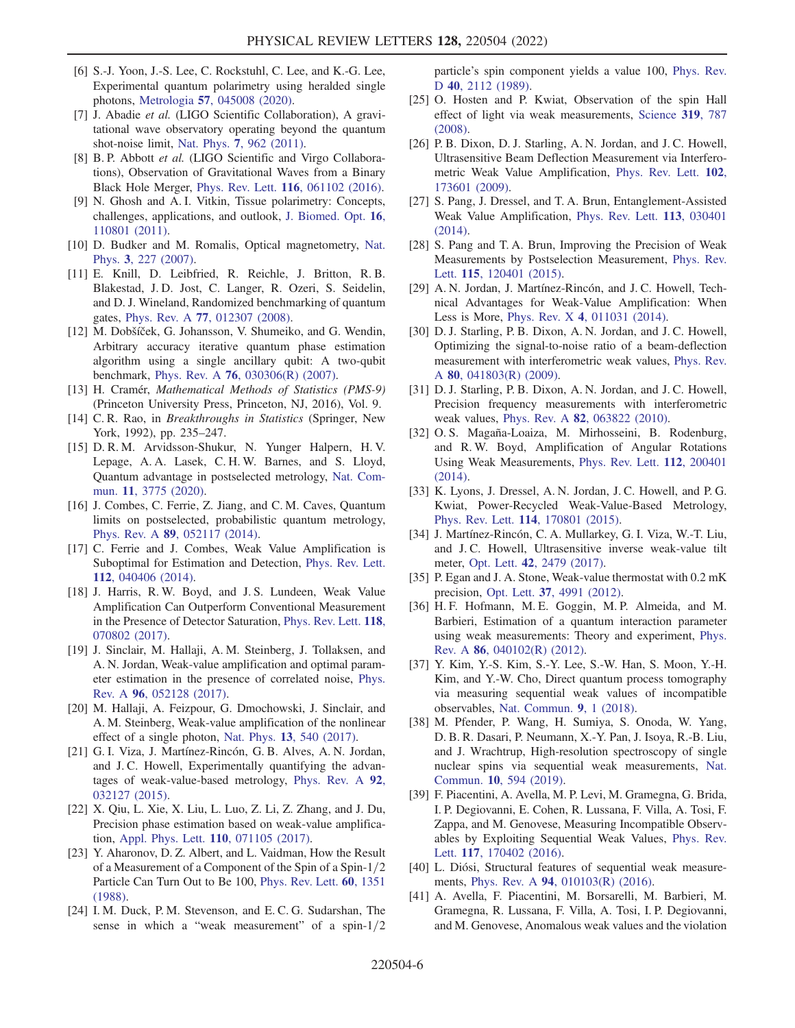- <span id="page-5-0"></span>[6] S.-J. Yoon, J.-S. Lee, C. Rockstuhl, C. Lee, and K.-G. Lee, Experimental quantum polarimetry using heralded single photons, Metrologia 57[, 045008 \(2020\).](https://doi.org/10.1088/1681-7575/ab8801)
- [7] J. Abadie et al. (LIGO Scientific Collaboration), A gravitational wave observatory operating beyond the quantum shot-noise limit, Nat. Phys. 7[, 962 \(2011\).](https://doi.org/10.1038/nphys2083)
- [8] B. P. Abbott et al. (LIGO Scientific and Virgo Collaborations), Observation of Gravitational Waves from a Binary Black Hole Merger, Phys. Rev. Lett. 116[, 061102 \(2016\).](https://doi.org/10.1103/PhysRevLett.116.061102)
- [9] N. Ghosh and A. I. Vitkin, Tissue polarimetry: Concepts, challenges, applications, and outlook, [J. Biomed. Opt.](https://doi.org/10.1117/1.3652896) 16, [110801 \(2011\).](https://doi.org/10.1117/1.3652896)
- [10] D. Budker and M. Romalis, Optical magnetometry, [Nat.](https://doi.org/10.1038/nphys566) Phys. 3[, 227 \(2007\)](https://doi.org/10.1038/nphys566).
- [11] E. Knill, D. Leibfried, R. Reichle, J. Britton, R. B. Blakestad, J. D. Jost, C. Langer, R. Ozeri, S. Seidelin, and D. J. Wineland, Randomized benchmarking of quantum gates, Phys. Rev. A 77[, 012307 \(2008\)](https://doi.org/10.1103/PhysRevA.77.012307).
- <span id="page-5-1"></span>[12] M. Dobšíček, G. Johansson, V. Shumeiko, and G. Wendin, Arbitrary accuracy iterative quantum phase estimation algorithm using a single ancillary qubit: A two-qubit benchmark, Phys. Rev. A 76[, 030306\(R\) \(2007\).](https://doi.org/10.1103/PhysRevA.76.030306)
- <span id="page-5-2"></span>[13] H. Cramér, Mathematical Methods of Statistics (PMS-9) (Princeton University Press, Princeton, NJ, 2016), Vol. 9.
- <span id="page-5-3"></span>[14] C. R. Rao, in *Breakthroughs in Statistics* (Springer, New York, 1992), pp. 235–247.
- <span id="page-5-4"></span>[15] D. R. M. Arvidsson-Shukur, N. Yunger Halpern, H. V. Lepage, A. A. Lasek, C. H. W. Barnes, and S. Lloyd, Quantum advantage in postselected metrology, [Nat. Com](https://doi.org/10.1038/s41467-020-17559-w)mun. 11[, 3775 \(2020\).](https://doi.org/10.1038/s41467-020-17559-w)
- <span id="page-5-5"></span>[16] J. Combes, C. Ferrie, Z. Jiang, and C. M. Caves, Quantum limits on postselected, probabilistic quantum metrology, Phys. Rev. A 89[, 052117 \(2014\)](https://doi.org/10.1103/PhysRevA.89.052117).
- <span id="page-5-6"></span>[17] C. Ferrie and J. Combes, Weak Value Amplification is Suboptimal for Estimation and Detection, [Phys. Rev. Lett.](https://doi.org/10.1103/PhysRevLett.112.040406) 112[, 040406 \(2014\).](https://doi.org/10.1103/PhysRevLett.112.040406)
- <span id="page-5-7"></span>[18] J. Harris, R. W. Boyd, and J. S. Lundeen, Weak Value Amplification Can Outperform Conventional Measurement in the Presence of Detector Saturation, [Phys. Rev. Lett.](https://doi.org/10.1103/PhysRevLett.118.070802) 118, [070802 \(2017\).](https://doi.org/10.1103/PhysRevLett.118.070802)
- [19] J. Sinclair, M. Hallaji, A. M. Steinberg, J. Tollaksen, and A. N. Jordan, Weak-value amplification and optimal parameter estimation in the presence of correlated noise, [Phys.](https://doi.org/10.1103/PhysRevA.96.052128) Rev. A 96[, 052128 \(2017\)](https://doi.org/10.1103/PhysRevA.96.052128).
- <span id="page-5-9"></span>[20] M. Hallaji, A. Feizpour, G. Dmochowski, J. Sinclair, and A. M. Steinberg, Weak-value amplification of the nonlinear effect of a single photon, Nat. Phys. 13[, 540 \(2017\)](https://doi.org/10.1038/nphys4040).
- [21] G. I. Viza, J. Martínez-Rincón, G. B. Alves, A. N. Jordan, and J. C. Howell, Experimentally quantifying the advantages of weak-value-based metrology, [Phys. Rev. A](https://doi.org/10.1103/PhysRevA.92.032127) 92, [032127 \(2015\).](https://doi.org/10.1103/PhysRevA.92.032127)
- <span id="page-5-8"></span>[22] X. Qiu, L. Xie, X. Liu, L. Luo, Z. Li, Z. Zhang, and J. Du, Precision phase estimation based on weak-value amplification, [Appl. Phys. Lett.](https://doi.org/10.1063/1.4976312) 110, 071105 (2017).
- [23] Y. Aharonov, D. Z. Albert, and L. Vaidman, How the Result of a Measurement of a Component of the Spin of a Spin- $1/2$ Particle Can Turn Out to Be 100, [Phys. Rev. Lett.](https://doi.org/10.1103/PhysRevLett.60.1351) 60, 1351 [\(1988\).](https://doi.org/10.1103/PhysRevLett.60.1351)
- [24] I. M. Duck, P. M. Stevenson, and E. C. G. Sudarshan, The sense in which a "weak measurement" of a spin- $1/2$

particle's spin component yields a value 100, [Phys. Rev.](https://doi.org/10.1103/PhysRevD.40.2112) D 40[, 2112 \(1989\).](https://doi.org/10.1103/PhysRevD.40.2112)

- [25] O. Hosten and P. Kwiat, Observation of the spin Hall effect of light via weak measurements, [Science](https://doi.org/10.1126/science.1152697) 319, 787 [\(2008\).](https://doi.org/10.1126/science.1152697)
- [26] P. B. Dixon, D. J. Starling, A. N. Jordan, and J. C. Howell, Ultrasensitive Beam Deflection Measurement via Interferometric Weak Value Amplification, [Phys. Rev. Lett.](https://doi.org/10.1103/PhysRevLett.102.173601) 102, [173601 \(2009\).](https://doi.org/10.1103/PhysRevLett.102.173601)
- <span id="page-5-10"></span>[27] S. Pang, J. Dressel, and T. A. Brun, Entanglement-Assisted Weak Value Amplification, [Phys. Rev. Lett.](https://doi.org/10.1103/PhysRevLett.113.030401) 113, 030401 [\(2014\).](https://doi.org/10.1103/PhysRevLett.113.030401)
- <span id="page-5-11"></span>[28] S. Pang and T. A. Brun, Improving the Precision of Weak Measurements by Postselection Measurement, [Phys. Rev.](https://doi.org/10.1103/PhysRevLett.115.120401)
- Lett. 115[, 120401 \(2015\)](https://doi.org/10.1103/PhysRevLett.115.120401). [29] A. N. Jordan, J. Martínez-Rincón, and J. C. Howell, Technical Advantages for Weak-Value Amplification: When Less is More, Phys. Rev. X 4[, 011031 \(2014\).](https://doi.org/10.1103/PhysRevX.4.011031)
- <span id="page-5-12"></span>[30] D. J. Starling, P. B. Dixon, A. N. Jordan, and J. C. Howell, Optimizing the signal-to-noise ratio of a beam-deflection measurement with interferometric weak values, [Phys. Rev.](https://doi.org/10.1103/PhysRevA.80.041803) <sup>A</sup> 80[, 041803\(R\) \(2009\).](https://doi.org/10.1103/PhysRevA.80.041803)
- [31] D. J. Starling, P. B. Dixon, A. N. Jordan, and J. C. Howell, Precision frequency measurements with interferometric weak values, Phys. Rev. A 82[, 063822 \(2010\)](https://doi.org/10.1103/PhysRevA.82.063822).
- [32] O. S. Magaña-Loaiza, M. Mirhosseini, B. Rodenburg, and R. W. Boyd, Amplification of Angular Rotations Using Weak Measurements, [Phys. Rev. Lett.](https://doi.org/10.1103/PhysRevLett.112.200401) 112, 200401 [\(2014\).](https://doi.org/10.1103/PhysRevLett.112.200401)
- [33] K. Lyons, J. Dressel, A. N. Jordan, J. C. Howell, and P. G. Kwiat, Power-Recycled Weak-Value-Based Metrology, Phys. Rev. Lett. <sup>114</sup>[, 170801 \(2015\).](https://doi.org/10.1103/PhysRevLett.114.170801)
- [34] J. Martínez-Rincón, C. A. Mullarkey, G. I. Viza, W.-T. Liu, and J. C. Howell, Ultrasensitive inverse weak-value tilt meter, Opt. Lett. 42[, 2479 \(2017\).](https://doi.org/10.1364/OL.42.002479)
- [35] P. Egan and J. A. Stone, Weak-value thermostat with 0.2 mK precision, Opt. Lett. 37[, 4991 \(2012\)](https://doi.org/10.1364/OL.37.004991).
- <span id="page-5-13"></span>[36] H. F. Hofmann, M. E. Goggin, M. P. Almeida, and M. Barbieri, Estimation of a quantum interaction parameter using weak measurements: Theory and experiment, [Phys.](https://doi.org/10.1103/PhysRevA.86.040102) Rev. A 86[, 040102\(R\) \(2012\).](https://doi.org/10.1103/PhysRevA.86.040102)
- [37] Y. Kim, Y.-S. Kim, S.-Y. Lee, S.-W. Han, S. Moon, Y.-H. Kim, and Y.-W. Cho, Direct quantum process tomography via measuring sequential weak values of incompatible observables, [Nat. Commun.](https://doi.org/10.1038/s41467-017-02088-w) 9, 1 (2018).
- [38] M. Pfender, P. Wang, H. Sumiya, S. Onoda, W. Yang, D. B. R. Dasari, P. Neumann, X.-Y. Pan, J. Isoya, R.-B. Liu, and J. Wrachtrup, High-resolution spectroscopy of single nuclear spins via sequential weak measurements, [Nat.](https://doi.org/10.1038/s41467-019-08544-z) Commun. 10[, 594 \(2019\).](https://doi.org/10.1038/s41467-019-08544-z)
- [39] F. Piacentini, A. Avella, M. P. Levi, M. Gramegna, G. Brida, I. P. Degiovanni, E. Cohen, R. Lussana, F. Villa, A. Tosi, F. Zappa, and M. Genovese, Measuring Incompatible Observables by Exploiting Sequential Weak Values, [Phys. Rev.](https://doi.org/10.1103/PhysRevLett.117.170402) Lett. 117[, 170402 \(2016\)](https://doi.org/10.1103/PhysRevLett.117.170402).
- [40] L. Diósi, Structural features of sequential weak measurements, Phys. Rev. A 94[, 010103\(R\) \(2016\)](https://doi.org/10.1103/PhysRevA.94.010103).
- [41] A. Avella, F. Piacentini, M. Borsarelli, M. Barbieri, M. Gramegna, R. Lussana, F. Villa, A. Tosi, I. P. Degiovanni, and M. Genovese, Anomalous weak values and the violation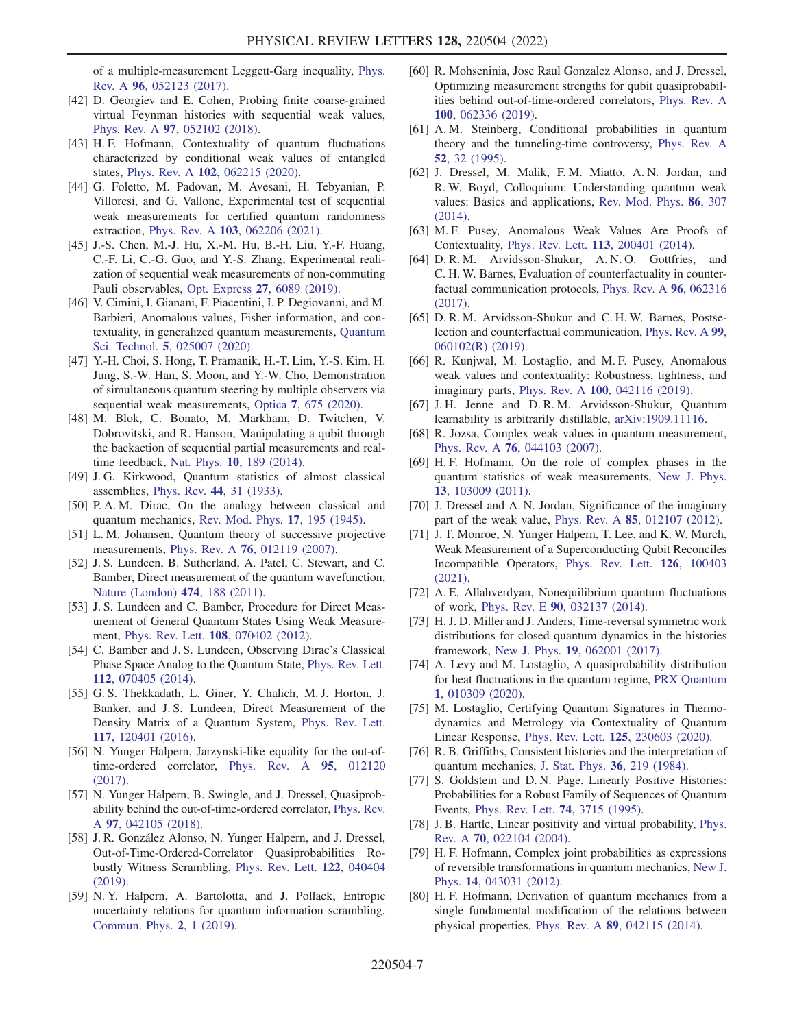of a multiple-measurement Leggett-Garg inequality, [Phys.](https://doi.org/10.1103/PhysRevA.96.052123) Rev. A 96[, 052123 \(2017\)](https://doi.org/10.1103/PhysRevA.96.052123).

- [42] D. Georgiev and E. Cohen, Probing finite coarse-grained virtual Feynman histories with sequential weak values, Phys. Rev. A 97[, 052102 \(2018\)](https://doi.org/10.1103/PhysRevA.97.052102).
- [43] H.F. Hofmann, Contextuality of quantum fluctuations characterized by conditional weak values of entangled states, Phys. Rev. A 102[, 062215 \(2020\).](https://doi.org/10.1103/PhysRevA.102.062215)
- [44] G. Foletto, M. Padovan, M. Avesani, H. Tebyanian, P. Villoresi, and G. Vallone, Experimental test of sequential weak measurements for certified quantum randomness extraction, Phys. Rev. A 103[, 062206 \(2021\)](https://doi.org/10.1103/PhysRevA.103.062206).
- [45] J.-S. Chen, M.-J. Hu, X.-M. Hu, B.-H. Liu, Y.-F. Huang, C.-F. Li, C.-G. Guo, and Y.-S. Zhang, Experimental realization of sequential weak measurements of non-commuting Pauli observables, Opt. Express 27[, 6089 \(2019\)](https://doi.org/10.1364/OE.27.006089).
- [46] V. Cimini, I. Gianani, F. Piacentini, I. P. Degiovanni, and M. Barbieri, Anomalous values, Fisher information, and contextuality, in generalized quantum measurements, [Quantum](https://doi.org/10.1088/2058-9565/ab7988) Sci. Technol. 5[, 025007 \(2020\).](https://doi.org/10.1088/2058-9565/ab7988)
- [47] Y.-H. Choi, S. Hong, T. Pramanik, H.-T. Lim, Y.-S. Kim, H. Jung, S.-W. Han, S. Moon, and Y.-W. Cho, Demonstration of simultaneous quantum steering by multiple observers via sequential weak measurements, Optica 7[, 675 \(2020\).](https://doi.org/10.1364/OPTICA.394667)
- <span id="page-6-0"></span>[48] M. Blok, C. Bonato, M. Markham, D. Twitchen, V. Dobrovitski, and R. Hanson, Manipulating a qubit through the backaction of sequential partial measurements and realtime feedback, Nat. Phys. 10[, 189 \(2014\).](https://doi.org/10.1038/nphys2881)
- <span id="page-6-1"></span>[49] J. G. Kirkwood, Quantum statistics of almost classical assemblies, Phys. Rev. 44[, 31 \(1933\).](https://doi.org/10.1103/PhysRev.44.31)
- <span id="page-6-2"></span>[50] P. A. M. Dirac, On the analogy between classical and quantum mechanics, [Rev. Mod. Phys.](https://doi.org/10.1103/RevModPhys.17.195) 17, 195 (1945).
- <span id="page-6-3"></span>[51] L. M. Johansen, Quantum theory of successive projective measurements, Phys. Rev. A 76[, 012119 \(2007\).](https://doi.org/10.1103/PhysRevA.76.012119)
- [52] J. S. Lundeen, B. Sutherland, A. Patel, C. Stewart, and C. Bamber, Direct measurement of the quantum wavefunction, [Nature \(London\)](https://doi.org/10.1038/nature10120) 474, 188 (2011).
- [53] J. S. Lundeen and C. Bamber, Procedure for Direct Measurement of General Quantum States Using Weak Measurement, Phys. Rev. Lett. 108[, 070402 \(2012\)](https://doi.org/10.1103/PhysRevLett.108.070402).
- [54] C. Bamber and J. S. Lundeen, Observing Dirac's Classical Phase Space Analog to the Quantum State, [Phys. Rev. Lett.](https://doi.org/10.1103/PhysRevLett.112.070405) 112[, 070405 \(2014\).](https://doi.org/10.1103/PhysRevLett.112.070405)
- <span id="page-6-4"></span>[55] G. S. Thekkadath, L. Giner, Y. Chalich, M. J. Horton, J. Banker, and J. S. Lundeen, Direct Measurement of the Density Matrix of a Quantum System, [Phys. Rev. Lett.](https://doi.org/10.1103/PhysRevLett.117.120401) 117[, 120401 \(2016\).](https://doi.org/10.1103/PhysRevLett.117.120401)
- <span id="page-6-5"></span>[56] N. Yunger Halpern, Jarzynski-like equality for the out-oftime-ordered correlator, [Phys. Rev. A](https://doi.org/10.1103/PhysRevA.95.012120) 95, 012120 [\(2017\).](https://doi.org/10.1103/PhysRevA.95.012120)
- [57] N. Yunger Halpern, B. Swingle, and J. Dressel, Quasiprobability behind the out-of-time-ordered correlator, [Phys. Rev.](https://doi.org/10.1103/PhysRevA.97.042105) <sup>A</sup> 97[, 042105 \(2018\)](https://doi.org/10.1103/PhysRevA.97.042105).
- <span id="page-6-15"></span>[58] J. R. González Alonso, N. Yunger Halpern, and J. Dressel, Out-of-Time-Ordered-Correlator Quasiprobabilities Robustly Witness Scrambling, [Phys. Rev. Lett.](https://doi.org/10.1103/PhysRevLett.122.040404) 122, 040404 [\(2019\).](https://doi.org/10.1103/PhysRevLett.122.040404)
- [59] N. Y. Halpern, A. Bartolotta, and J. Pollack, Entropic uncertainty relations for quantum information scrambling, [Commun. Phys.](https://doi.org/10.1038/s42005-019-0179-8) 2, 1 (2019).
- <span id="page-6-6"></span>[60] R. Mohseninia, Jose Raul Gonzalez Alonso, and J. Dressel, Optimizing measurement strengths for qubit quasiprobabilities behind out-of-time-ordered correlators, [Phys. Rev. A](https://doi.org/10.1103/PhysRevA.100.062336) 100[, 062336 \(2019\).](https://doi.org/10.1103/PhysRevA.100.062336)
- <span id="page-6-7"></span>[61] A. M. Steinberg, Conditional probabilities in quantum theory and the tunneling-time controversy, [Phys. Rev. A](https://doi.org/10.1103/PhysRevA.52.32) 52[, 32 \(1995\).](https://doi.org/10.1103/PhysRevA.52.32)
- [62] J. Dressel, M. Malik, F. M. Miatto, A. N. Jordan, and R. W. Boyd, Colloquium: Understanding quantum weak values: Basics and applications, [Rev. Mod. Phys.](https://doi.org/10.1103/RevModPhys.86.307) 86, 307 [\(2014\).](https://doi.org/10.1103/RevModPhys.86.307)
- [63] M. F. Pusey, Anomalous Weak Values Are Proofs of Contextuality, Phys. Rev. Lett. 113[, 200401 \(2014\)](https://doi.org/10.1103/PhysRevLett.113.200401).
- [64] D. R. M. Arvidsson-Shukur, A. N. O. Gottfries, and C. H. W. Barnes, Evaluation of counterfactuality in counterfactual communication protocols, [Phys. Rev. A](https://doi.org/10.1103/PhysRevA.96.062316) 96, 062316 [\(2017\).](https://doi.org/10.1103/PhysRevA.96.062316)
- [65] D. R. M. Arvidsson-Shukur and C. H. W. Barnes, Postselection and counterfactual communication, [Phys. Rev. A](https://doi.org/10.1103/PhysRevA.99.060102) 99, [060102\(R\) \(2019\)](https://doi.org/10.1103/PhysRevA.99.060102).
- [66] R. Kunjwal, M. Lostaglio, and M. F. Pusey, Anomalous weak values and contextuality: Robustness, tightness, and imaginary parts, Phys. Rev. A 100[, 042116 \(2019\).](https://doi.org/10.1103/PhysRevA.100.042116)
- <span id="page-6-8"></span>[67] J. H. Jenne and D. R. M. Arvidsson-Shukur, Quantum learnability is arbitrarily distillable, [arXiv:1909.11116.](https://arXiv.org/abs/1909.11116)
- <span id="page-6-9"></span>[68] R. Jozsa, Complex weak values in quantum measurement, Phys. Rev. A 76[, 044103 \(2007\)](https://doi.org/10.1103/PhysRevA.76.044103).
- <span id="page-6-13"></span>[69] H. F. Hofmann, On the role of complex phases in the quantum statistics of weak measurements, [New J. Phys.](https://doi.org/10.1088/1367-2630/13/10/103009) 13[, 103009 \(2011\).](https://doi.org/10.1088/1367-2630/13/10/103009)
- [70] J. Dressel and A. N. Jordan, Significance of the imaginary part of the weak value, Phys. Rev. A 85[, 012107 \(2012\)](https://doi.org/10.1103/PhysRevA.85.012107).
- <span id="page-6-10"></span>[71] J. T. Monroe, N. Yunger Halpern, T. Lee, and K. W. Murch, Weak Measurement of a Superconducting Qubit Reconciles Incompatible Operators, [Phys. Rev. Lett.](https://doi.org/10.1103/PhysRevLett.126.100403) 126, 100403 [\(2021\).](https://doi.org/10.1103/PhysRevLett.126.100403)
- <span id="page-6-11"></span>[72] A. E. Allahverdyan, Nonequilibrium quantum fluctuations of work, Phys. Rev. E 90[, 032137 \(2014\).](https://doi.org/10.1103/PhysRevE.90.032137)
- [73] H. J. D. Miller and J. Anders, Time-reversal symmetric work distributions for closed quantum dynamics in the histories framework, New J. Phys. 19[, 062001 \(2017\)](https://doi.org/10.1088/1367-2630/aa703f).
- [74] A. Levy and M. Lostaglio, A quasiprobability distribution for heat fluctuations in the quantum regime, [PRX Quantum](https://doi.org/10.1103/PRXQuantum.1.010309) 1[, 010309 \(2020\)](https://doi.org/10.1103/PRXQuantum.1.010309).
- <span id="page-6-12"></span>[75] M. Lostaglio, Certifying Quantum Signatures in Thermodynamics and Metrology via Contextuality of Quantum Linear Response, Phys. Rev. Lett. 125[, 230603 \(2020\).](https://doi.org/10.1103/PhysRevLett.125.230603)
- <span id="page-6-14"></span>[76] R. B. Griffiths, Consistent histories and the interpretation of quantum mechanics, [J. Stat. Phys.](https://doi.org/10.1007/BF01015734) 36, 219 (1984).
- [77] S. Goldstein and D. N. Page, Linearly Positive Histories: Probabilities for a Robust Family of Sequences of Quantum Events, [Phys. Rev. Lett.](https://doi.org/10.1103/PhysRevLett.74.3715) 74, 3715 (1995).
- [78] J. B. Hartle, Linear positivity and virtual probability, [Phys.](https://doi.org/10.1103/PhysRevA.70.022104) Rev. A 70[, 022104 \(2004\)](https://doi.org/10.1103/PhysRevA.70.022104).
- [79] H. F. Hofmann, Complex joint probabilities as expressions of reversible transformations in quantum mechanics, [New J.](https://doi.org/10.1088/1367-2630/14/4/043031) Phys. 14[, 043031 \(2012\)](https://doi.org/10.1088/1367-2630/14/4/043031).
- [80] H. F. Hofmann, Derivation of quantum mechanics from a single fundamental modification of the relations between physical properties, Phys. Rev. A 89[, 042115 \(2014\)](https://doi.org/10.1103/PhysRevA.89.042115).